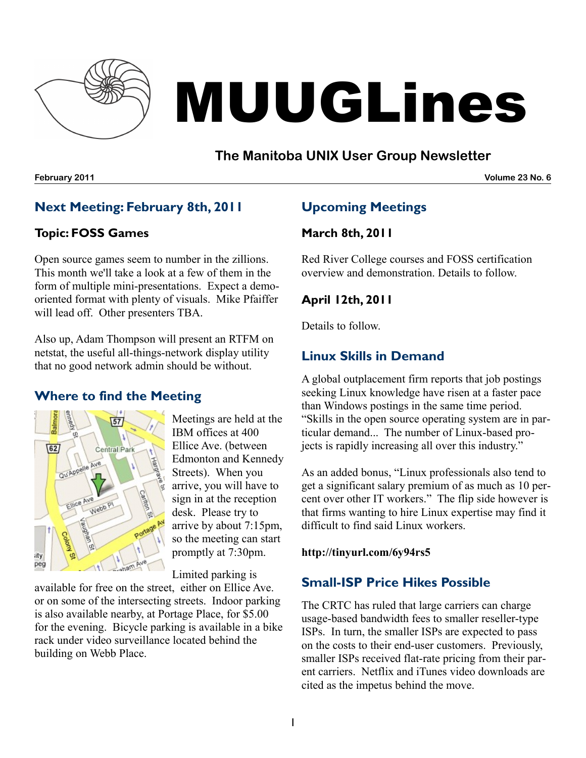

# MUUGLines

## **The Manitoba UNIX User Group Newsletter**

**February 2011 Volume 23 No. 6**

## **Next Meeting: February 8th, 2011**

#### **Topic: FOSS Games**

Open source games seem to number in the zillions. This month we'll take a look at a few of them in the form of multiple mini-presentations. Expect a demooriented format with plenty of visuals. Mike Pfaiffer will lead off. Other presenters TBA.

Also up, Adam Thompson will present an RTFM on netstat, the useful all-things-network display utility that no good network admin should be without.

## **Where to find the Meeting**



Meetings are held at the IBM offices at 400 Ellice Ave. (between Edmonton and Kennedy Streets). When you arrive, you will have to sign in at the reception desk. Please try to arrive by about 7:15pm, so the meeting can start promptly at 7:30pm.

Limited parking is

available for free on the street, either on Ellice Ave. or on some of the intersecting streets. Indoor parking is also available nearby, at Portage Place, for \$5.00 for the evening. Bicycle parking is available in a bike rack under video surveillance located behind the building on Webb Place.

# **Upcoming Meetings**

## **March 8th, 2011**

Red River College courses and FOSS certification overview and demonstration. Details to follow.

#### **April 12th, 2011**

Details to follow.

## **Linux Skills in Demand**

A global outplacement firm reports that job postings seeking Linux knowledge have risen at a faster pace than Windows postings in the same time period. "Skills in the open source operating system are in particular demand... The number of Linux-based projects is rapidly increasing all over this industry."

As an added bonus, "Linux professionals also tend to get a significant salary premium of as much as 10 percent over other IT workers." The flip side however is that firms wanting to hire Linux expertise may find it difficult to find said Linux workers.

**http://tinyurl.com/6y94rs5**

## **Small-ISP Price Hikes Possible**

The CRTC has ruled that large carriers can charge usage-based bandwidth fees to smaller reseller-type ISPs. In turn, the smaller ISPs are expected to pass on the costs to their end-user customers. Previously, smaller ISPs received flat-rate pricing from their parent carriers. Netflix and iTunes video downloads are cited as the impetus behind the move.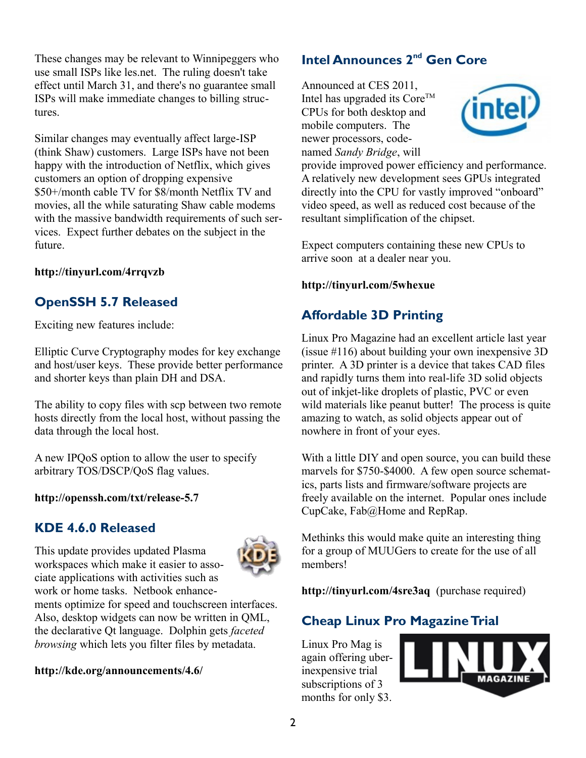These changes may be relevant to Winnipeggers who use small ISPs like les.net. The ruling doesn't take effect until March 31, and there's no guarantee small ISPs will make immediate changes to billing structures.

Similar changes may eventually affect large-ISP (think Shaw) customers. Large ISPs have not been happy with the introduction of Netflix, which gives customers an option of dropping expensive \$50+/month cable TV for \$8/month Netflix TV and movies, all the while saturating Shaw cable modems with the massive bandwidth requirements of such services. Expect further debates on the subject in the future.

**http://tinyurl.com/4rrqvzb**

# **OpenSSH 5.7 Released**

Exciting new features include:

Elliptic Curve Cryptography modes for key exchange and host/user keys. These provide better performance and shorter keys than plain DH and DSA.

The ability to copy files with scp between two remote hosts directly from the local host, without passing the data through the local host.

A new IPQoS option to allow the user to specify arbitrary TOS/DSCP/QoS flag values.

#### **http://openssh.com/txt/release-5.7**

#### **KDE 4.6.0 Released**

This update provides updated Plasma workspaces which make it easier to associate applications with activities such as work or home tasks. Netbook enhance-



ments optimize for speed and touchscreen interfaces. Also, desktop widgets can now be written in QML, the declarative Qt language. Dolphin gets *faceted browsing* which lets you filter files by metadata.

**http://kde.org/announcements/4.6/**

# **Intel Announces 2nd Gen Core**

Announced at CES 2011, Intel has upgraded its  $\text{Core}^{\text{TM}}$ CPUs for both desktop and mobile computers. The newer processors, codenamed *Sandy Bridge*, will



provide improved power efficiency and performance. A relatively new development sees GPUs integrated directly into the CPU for vastly improved "onboard" video speed, as well as reduced cost because of the resultant simplification of the chipset.

Expect computers containing these new CPUs to arrive soon at a dealer near you.

**http://tinyurl.com/5whexue**

# **Affordable 3D Printing**

Linux Pro Magazine had an excellent article last year (issue #116) about building your own inexpensive 3D printer. A 3D printer is a device that takes CAD files and rapidly turns them into real-life 3D solid objects out of inkjet-like droplets of plastic, PVC or even wild materials like peanut butter! The process is quite amazing to watch, as solid objects appear out of nowhere in front of your eyes.

With a little DIY and open source, you can build these marvels for \$750-\$4000. A few open source schematics, parts lists and firmware/software projects are freely available on the internet. Popular ones include CupCake, Fab@Home and RepRap.

Methinks this would make quite an interesting thing for a group of MUUGers to create for the use of all members!

**http://tinyurl.com/4sre3aq** (purchase required)

## **Cheap Linux Pro Magazine Trial**

Linux Pro Mag is again offering uberinexpensive trial subscriptions of 3 months for only \$3.

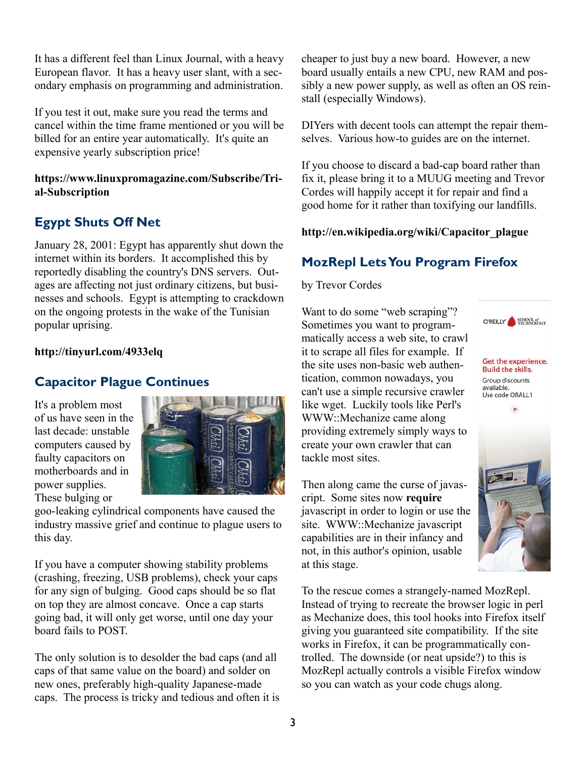It has a different feel than Linux Journal, with a heavy European flavor. It has a heavy user slant, with a secondary emphasis on programming and administration.

If you test it out, make sure you read the terms and cancel within the time frame mentioned or you will be billed for an entire year automatically. It's quite an expensive yearly subscription price!

#### **https://www.linuxpromagazine.com/Subscribe/Trial-Subscription**

# **Egypt Shuts Off Net**

January 28, 2001: Egypt has apparently shut down the internet within its borders. It accomplished this by reportedly disabling the country's DNS servers. Outages are affecting not just ordinary citizens, but businesses and schools. Egypt is attempting to crackdown on the ongoing protests in the wake of the Tunisian popular uprising.

#### **http://tinyurl.com/4933elq**

## **Capacitor Plague Continues**

It's a problem most of us have seen in the last decade: unstable computers caused by faulty capacitors on motherboards and in power supplies. These bulging or



goo-leaking cylindrical components have caused the industry massive grief and continue to plague users to this day.

If you have a computer showing stability problems (crashing, freezing, USB problems), check your caps for any sign of bulging. Good caps should be so flat on top they are almost concave. Once a cap starts going bad, it will only get worse, until one day your board fails to POST.

The only solution is to desolder the bad caps (and all caps of that same value on the board) and solder on new ones, preferably high-quality Japanese-made caps. The process is tricky and tedious and often it is cheaper to just buy a new board. However, a new board usually entails a new CPU, new RAM and possibly a new power supply, as well as often an OS reinstall (especially Windows).

DIYers with decent tools can attempt the repair themselves. Various how-to guides are on the internet.

If you choose to discard a bad-cap board rather than fix it, please bring it to a MUUG meeting and Trevor Cordes will happily accept it for repair and find a good home for it rather than toxifying our landfills.

#### **[http://en.wikipedia.org/wiki/Capacitor\\_plague](http://en.wikipedia.org/wiki/Capacitor_plague)**

## **MozRepl Lets You Program Firefox**

by Trevor Cordes

Want to do some "web scraping"? Sometimes you want to programmatically access a web site, to crawl it to scrape all files for example. If the site uses non-basic web authentication, common nowadays, you can't use a simple recursive crawler like wget. Luckily tools like Perl's WWW::Mechanize came along providing extremely simply ways to create your own crawler that can tackle most sites.

Then along came the curse of javascript. Some sites now **require** javascript in order to login or use the site. WWW::Mechanize javascript capabilities are in their infancy and not, in this author's opinion, usable at this stage.

To the rescue comes a strangely-named MozRepl. Instead of trying to recreate the browser logic in perl as Mechanize does, this tool hooks into Firefox itself giving you guaranteed site compatibility. If the site works in Firefox, it can be programmatically controlled. The downside (or neat upside?) to this is MozRepl actually controls a visible Firefox window so you can watch as your code chugs along.